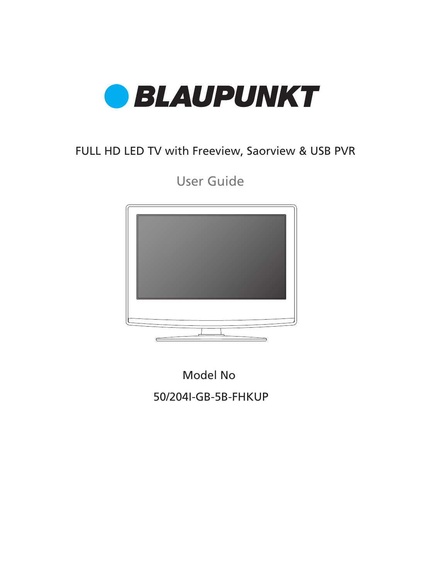

### FULL HD LED TV with Freeview, Saorview & USB PVR

User Guide



50/204I-GB-5B-FHKUP Model No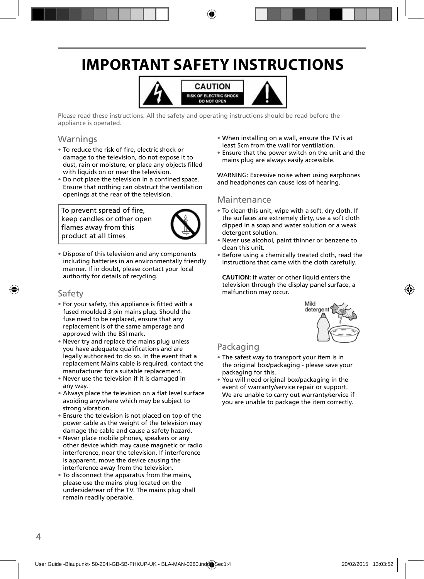## **IMPORTANT SAFETY INSTRUCTIONS**



Please read these instructions. All the safety and operating instructions should be read before the appliance is operated.

#### Warnings

- To reduce the risk of fire, electric shock or damage to the television, do not expose it to dust, rain or moisture, or place any objects filled with liquids on or near the television.
- Do not place the television in a confined space. Ensure that nothing can obstruct the ventilation openings at the rear of the television.

To prevent spread of fire, keep candles or other open flames away from this product at all times



• Dispose of this television and any components including batteries in an environmentally friendly manner. If in doubt, please contact your local authority for details of recycling.

#### Safety

- For your safety, this appliance is fitted with a fused moulded 3 pin mains plug. Should the fuse need to be replaced, ensure that any replacement is of the same amperage and approved with the BSI mark.
- Never try and replace the mains plug unless you have adequate qualifications and are legally authorised to do so. In the event that a replacement Mains cable is required, contact the manufacturer for a suitable replacement.
- Never use the television if it is damaged in any way.
- Always place the television on a flat level surface avoiding anywhere which may be subject to strong vibration.
- Ensure the television is not placed on top of the power cable as the weight of the television may damage the cable and cause a safety hazard.
- Never place mobile phones, speakers or any other device which may cause magnetic or radio interference, near the television. If interference is apparent, move the device causing the interference away from the television.
- To disconnect the apparatus from the mains, please use the mains plug located on the underside/rear of the TV. The mains plug shall remain readily operable.
- When installing on a wall, ensure the TV is at least 5cm from the wall for ventilation.
- Ensure that the power switch on the unit and the mains plug are always easily accessible.

WARNING: Excessive noise when using earphones and headphones can cause loss of hearing.

#### Maintenance

- To clean this unit, wipe with a soft, dry cloth. If the surfaces are extremely dirty, use a soft cloth dipped in a soap and water solution or a weak detergent solution.
- Never use alcohol, paint thinner or benzene to clean this unit.
- Before using a chemically treated cloth, read the instructions that came with the cloth carefully.

**CAUTION:** If water or other liquid enters the television through the display panel surface, a malfunction may occur.



#### Packaging

- The safest way to transport your item is in the original box/packaging - please save your packaging for this.
- You will need original box/packaging in the event of warranty/service repair or support. We are unable to carry out warranty/service if you are unable to package the item correctly.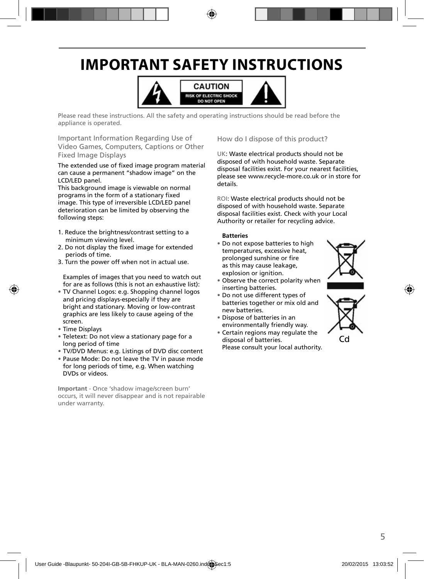## **IMPORTANT SAFETY INSTRUCTIONS**



Please read these instructions. All the safety and operating instructions should be read before the appliance is operated.

Important Information Regarding Use of Video Games, Computers, Captions or Other Fixed Image Displays

The extended use of fixed image program material can cause a permanent "shadow image" on the LCD/LED panel.

This background image is viewable on normal programs in the form of a stationary fixed image. This type of irreversible LCD/LED panel deterioration can be limited by observing the following steps:

- 1. Reduce the brightness/contrast setting to a minimum viewing level.
- 2. Do not display the fixed image for extended periods of time.
- 3. Turn the power off when not in actual use.

Examples of images that you need to watch out for are as follows (this is not an exhaustive list):

- TV Channel Logos: e.g. Shopping channel logos and pricing displays-especially if they are bright and stationary. Moving or low-contrast graphics are less likely to cause ageing of the screen.
- Time Displays
- Teletext: Do not view a stationary page for a long period of time
- TV/DVD Menus: e.g. Listings of DVD disc content
- Pause Mode: Do not leave the TV in pause mode for long periods of time, e.g. When watching DVDs or videos.

**Important** - Once 'shadow image/screen burn' occurs, it will never disappear and is not repairable under warranty.

How do I dispose of this product?

UK: Waste electrical products should not be disposed of with household waste. Separate disposal facilities exist. For your nearest facilities, please see www.recycle-more.co.uk or in store for details.

ROI: Waste electrical products should not be disposed of with household waste. Separate disposal facilities exist. Check with your Local Authority or retailer for recycling advice.

#### **Batteries**

- Do not expose batteries to high temperatures, excessive heat, prolonged sunshine or fire as this may cause leakage, explosion or ignition.
- Observe the correct polarity when inserting batteries.
- Do not use different types of batteries together or mix old and new batteries.
- Dispose of batteries in an environmentally friendly way.
- Certain regions may regulate the disposal of batteries. Please consult your local authority.



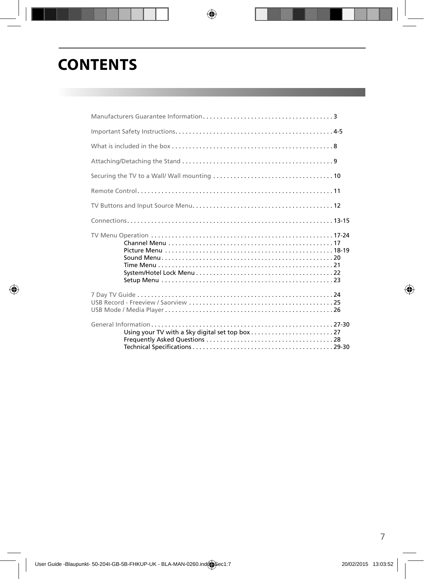### **CONTENTS**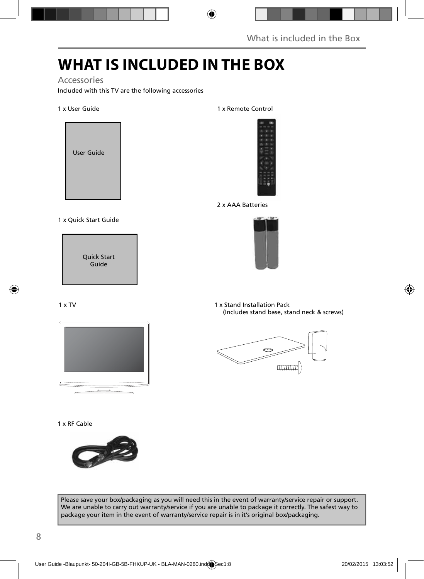## **WHAT IS INCLUDED IN THE BOX**

#### Accessories

Included with this TV are the following accessories

#### 1 x User Guide



#### 1 x Quick Start Guide

Quick Start Guide

#### 1 x TV



1 x RF Cable



#### 1 x Remote Control



2 x AAA Batteries



1 x Stand Installation Pack (Includes stand base, stand neck & screws)



Please save your box/packaging as you will need this in the event of warranty/service repair or support. We are unable to carry out warranty/service if you are unable to package it correctly. The safest way to package your item in the event of warranty/service repair is in it's original box/packaging.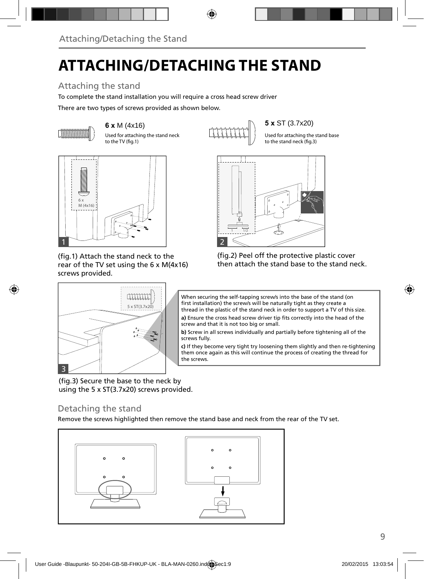## **ATTACHING/DETACHING THE STAND**

### Attaching the stand

To complete the stand installation you will require a cross head screw driver

There are two types of screws provided as shown below.



Used for attaching the stand neck to the TV (fig.1)



Used for attaching the stand base to the stand neck (fig.3)



(fig.1) Attach the stand neck to the rear of the TV set using the 6 x M(4x16) screws provided.



(fig.2) Peel off the protective plastic cover then attach the stand base to the stand neck.



When securing the self-tapping screw/s into the base of the stand (on first installation) the screw/s will be naturally tight as they create a thread in the plastic of the stand neck in order to support a TV of this size.

a) Ensure the cross head screw driver tip fits correctly into the head of the screw and that it is not too big or small.

**b)** Screw in all screws individually and partially before tightening all of the screws fully.

**c)** If they become very tight try loosening them slightly and then re-tightening them once again as this will continue the process of creating the thread for the screws.

(fig.3) Secure the base to the neck by using the 5 x ST(3.7x20) screws provided.

#### Detaching the stand

Remove the screws highlighted then remove the stand base and neck from the rear of the TV set.

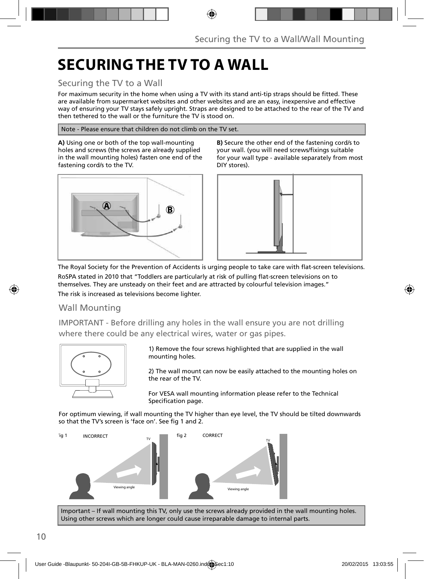## **SECURING THE TV TO A WALL**

#### Securing the TV to a Wall

For maximum security in the home when using a TV with its stand anti-tip straps should be fitted. These are available from supermarket websites and other websites and are an easy, inexpensive and effective way of ensuring your TV stays safely upright. Straps are designed to be attached to the rear of the TV and then tethered to the wall or the furniture the TV is stood on.

Note - Please ensure that children do not climb on the TV set.

**A)** Using one or both of the top wall-mounting holes and screws (the screws are already supplied in the wall mounting holes) fasten one end of the fastening cord/s to the TV.



**B)** Secure the other end of the fastening cord/s to your wall. (you will need screws/fixings suitable for your wall type - available separately from most DIY stores).



The Royal Society for the Prevention of Accidents is urging people to take care with flat-screen televisions. RoSPA stated in 2010 that "Toddlers are particularly at risk of pulling flat-screen televisions on to themselves. They are unsteady on their feet and are attracted by colourful television images." The risk is increased as televisions become lighter.

#### Wall Mounting

IMPORTANT - Before drilling any holes in the wall ensure you are not drilling where there could be any electrical wires, water or gas pipes.



1) Remove the four screws highlighted that are supplied in the wall mounting holes.

2) The wall mount can now be easily attached to the mounting holes on the rear of the TV.

For VESA wall mounting information please refer to the Technical Specification page.

For optimum viewing, if wall mounting the TV higher than eye level, the TV should be tilted downwards so that the TV's screen is 'face on'. See fig 1 and 2.



Important – If wall mounting this TV, only use the screws already provided in the wall mounting holes. Using other screws which are longer could cause irreparable damage to internal parts.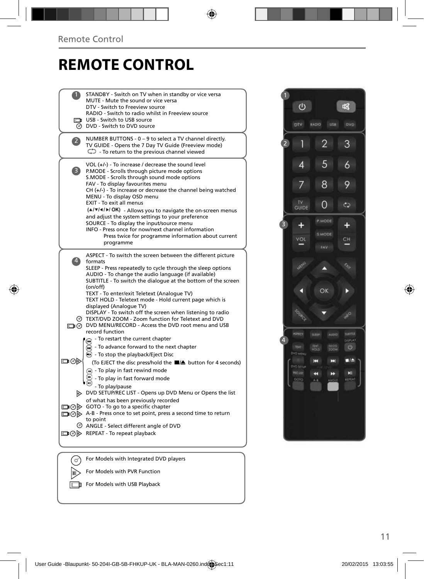### **REMOTE CONTROL**

|                | STANDBY - Switch on TV when in standby or vice versa<br>MUTE - Mute the sound or vice versa                    |  |
|----------------|----------------------------------------------------------------------------------------------------------------|--|
|                | DTV - Switch to Freeview source                                                                                |  |
|                | RADIO - Switch to radio whilst in Freeview source<br>USB - Switch to USB source                                |  |
|                | <b>O</b> DVD - Switch to DVD source                                                                            |  |
| $\mathbf{2}$   | NUMBER BUTTONS - 0 - 9 to select a TV channel directly.                                                        |  |
|                | TV GUIDE - Opens the 7 Day TV Guide (Freeview mode)<br>$\mathbb{C}$ - To return to the previous channel viewed |  |
|                | VOL $(+/-)$ - To increase / decrease the sound level                                                           |  |
| 3)             | P.MODE - Scrolls through picture mode options<br>S.MODE - Scrolls through sound mode options                   |  |
|                | FAV - To display favourites menu                                                                               |  |
|                | $CH (+/-)$ - To increase or decrease the channel being watched<br>MENU - To display OSD menu                   |  |
|                | EXIT - To exit all menus                                                                                       |  |
|                | (A/V/4/M/OK) - Allows you to navigate the on-screen menus<br>and adjust the system settings to your preference |  |
|                | SOURCE - To display the input/source menu                                                                      |  |
|                | INFO - Press once for now/next channel information<br>Press twice for programme information about current      |  |
|                | programme                                                                                                      |  |
|                | ASPECT - To switch the screen between the different picture                                                    |  |
| $\overline{4}$ | formats<br>SLEEP - Press repeatedly to cycle through the sleep options                                         |  |
|                | AUDIO - To change the audio language (if available)                                                            |  |
|                | SUBTITLE - To switch the dialogue at the bottom of the screen<br>(on/off)                                      |  |
|                | TEXT - To enter/exit Teletext (Analogue TV)                                                                    |  |
|                | TEXT HOLD - Teletext mode - Hold current page which is<br>displayed (Analogue TV)                              |  |
|                | DISPLAY - To switch off the screen when listening to radio                                                     |  |
|                | TEXT/DVD ZOOM - Zoom function for Teletext and DVD<br>DVD MENU/RECORD - Access the DVD root menu and USB       |  |
|                | record function                                                                                                |  |
|                | - To restart the current chapter                                                                               |  |
|                | To advance forward to the next chapter<br>$\odot$ - To stop the playback/Eject Disc                            |  |
| ⊡⊙⊳            | (To EJECT the disc press/hold the ■/▲ button for 4 seconds)                                                    |  |
|                | $\left( \overline{u} \right)$ - To play in fast rewind mode                                                    |  |
|                | - To play in fast forward mode                                                                                 |  |
|                | - To play/pause<br>DVD SETUP/REC LIST - Opens up DVD Menu or Opens the list                                    |  |
|                | of what has been previously recorded                                                                           |  |
|                | □ ⊙ > GOTO - To go to a specific chapter                                                                       |  |
|                | A-B - Press once to set point, press a second time to return<br>to point                                       |  |
|                | ANGLE - Select different angle of DVD                                                                          |  |
|                | □ ⊙ D REPEAT - To repeat playback                                                                              |  |
|                |                                                                                                                |  |
|                | For Models with Integrated DVD players                                                                         |  |
|                | For Models with PVR Function                                                                                   |  |
|                |                                                                                                                |  |

For Models with USB Playback

 $\cup$ 唿 RADIO USB  $\overline{2}$ 3  $\mathcal{L}$ 1 5  $\overline{4}$  $\ddot{\delta}$ 8  $\overline{7}$ 9 TV<br>GUIDE  $\overline{0}$  $\mathbb{C}$ 3  $\ddot{}$  $+$ щ Merid A OK D **AND** 4  $\circ$ TOOM **DVD MEN** K E  $\blacksquare$ voseru K  $\rightarrow$ REFEAT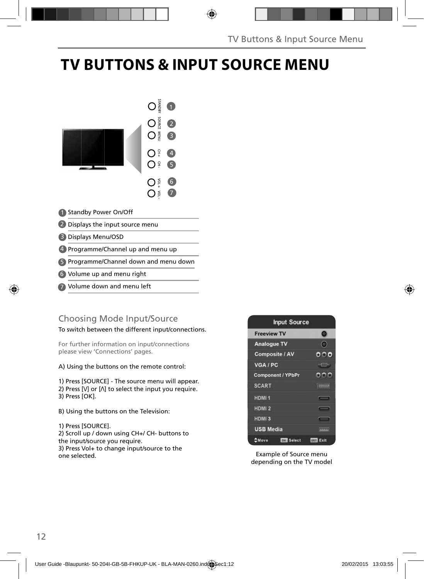### **TV BUTTONS & INPUT SOURCE MENU**



- Standby Power On/Off 1
- 2 Displays the input source menu
- Displays Menu/OSD 3
- Programme/Channel up and menu up 4
- Programme/Channel down and menu down 5
- Volume up and menu right 6
- Volume down and menu left 7

#### Choosing Mode Input/Source

To switch between the different input/connections.

For further information on input/connections please view 'Connections' pages.

A) Using the buttons on the remote control:

1) Press [SOURCE] - The source menu will appear. 2) Press  $[V]$  or  $[N]$  to select the input you require. 3) Press [OK].

B) Using the buttons on the Television:

1) Press [SOURCE].

2) Scroll up / down using CH+/ CH- buttons to the input/source you require. 3) Press Vol+ to change input/source to the one selected.



Example of Source menu depending on the TV model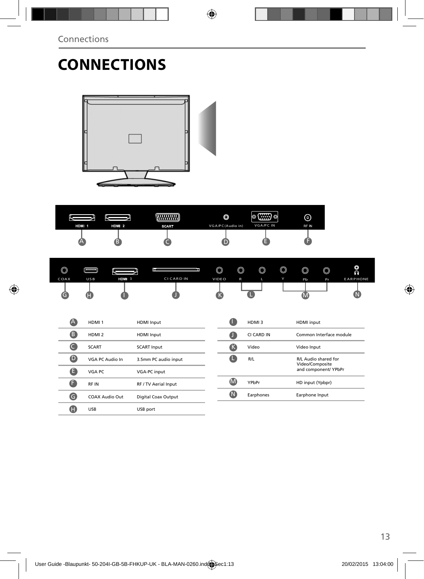# **CONNECTIONS**



| HDMI <sub>1</sub> | HDMI <sub>2</sub> | ,,,,,,,,,,,,,,,,<br><b>SCART</b> | O<br>VGA/PC(Audio in) | $\circ$ (::::) $\circ$<br>VGA/PC IN | ⊙<br>RF IN |
|-------------------|-------------------|----------------------------------|-----------------------|-------------------------------------|------------|
|                   |                   |                                  |                       |                                     |            |

| $\circledcirc$ |            |       |                   | $\circledcirc$ | $\circledcirc$ | $\circledcirc$ | $\circledcirc$ | $\circledcirc$ | $\circledcirc$ | O<br>$\tilde{\Omega}$ |
|----------------|------------|-------|-------------------|----------------|----------------|----------------|----------------|----------------|----------------|-----------------------|
| COAX           | <b>USB</b> | HDM 3 | <b>CI CARD IN</b> | VIDE O         | $\mathsf{R}$   | L              | Y              | Pb             | Pr             | <b>EARPHONE</b>       |
| r              | Lī.        |       |                   |                |                |                |                |                |                |                       |

| (A       | HDMI <sub>1</sub> | <b>HDMI</b> Input          | u                       | HDMI3      | HDMI input                              |
|----------|-------------------|----------------------------|-------------------------|------------|-----------------------------------------|
| (B       | HDMI <sub>2</sub> | <b>HDMI</b> Input          | ۵I                      | CI CARD IN | Common Interface module                 |
|          | <b>SCART</b>      | <b>SCART Input</b>         | (K                      | Video      | Video Input                             |
| $\bf{O}$ | VGA PC Audio In   | 3.5mm PC audio input       |                         | R/L        | R/L Audio shared for<br>Video/Composite |
| e        | VGA PC            | VGA-PC input               |                         |            | and component/ YPbPr                    |
| A        | RF IN             | RF / TV Aerial Input       | (M                      | YPbPr      | HD input (Ypbpr)                        |
| a        | COAX Audio Out    | <b>Digital Coax Output</b> | $\overline{\mathsf{N}}$ | Earphones  | Earphone Input                          |
| Œ        | <b>USB</b>        | USB port                   |                         |            |                                         |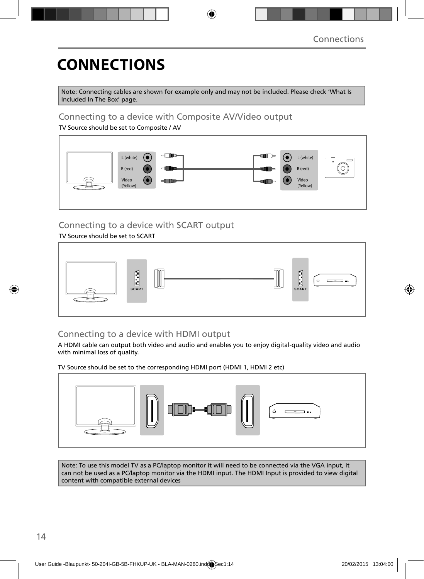# **CONNECTIONS**

Note: Connecting cables are shown for example only and may not be included. Please check 'What Is Included In The Box' page.

#### Connecting to a device with Composite AV/Video output

TV Source should be set to Composite / AV



### Connecting to a device with SCART output

#### TV Source should be set to SCART



### Connecting to a device with HDMI output

A HDMI cable can output both video and audio and enables you to enjoy digital-quality video and audio with minimal loss of quality.

TV Source should be set to the corresponding HDMI port (HDMI 1, HDMI 2 etc)



Note: To use this model TV as a PC/laptop monitor it will need to be connected via the VGA input, it can not be used as a PC/laptop monitor via the HDMI input. The HDMI Input is provided to view digital content with compatible external devices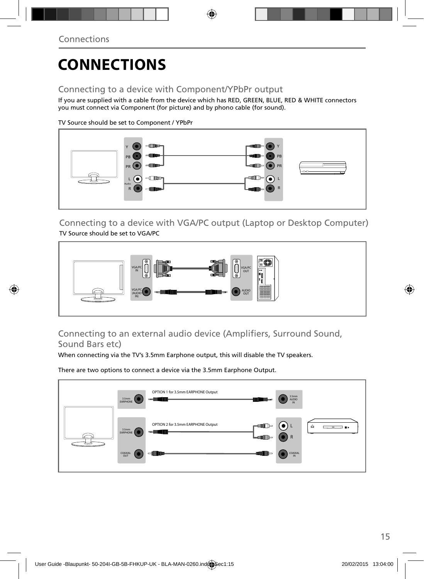## **CONNECTIONS**

### Connecting to a device with Component/YPbPr output

If you are supplied with a cable from the device which has RED, GREEN, BLUE, RED & WHITE connectors you must connect via Component (for picture) and by phono cable (for sound).

TV Source should be set to Component / YPbPr



Connecting to a device with VGA/PC output (Laptop or Desktop Computer) TV Source should be set to VGA/PC



Connecting to an external audio device (Amplifiers, Surround Sound, Sound Bars etc)

When connecting via the TV's 3.5mm Earphone output, this will disable the TV speakers.

There are two options to connect a device via the 3.5mm Earphone Output.

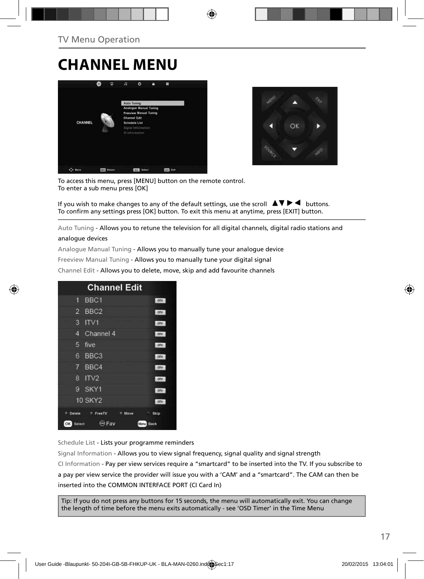### **CHANNEL MENU**





To access this menu, press [MENU] button on the remote control. To enter a sub menu press [OK]

If you wish to make changes to any of the default settings, use the scroll  $\blacktriangle \blacktriangledown \blacktriangleright \blacktriangleleft$  buttons. To confirm any settings press [OK] button. To exit this menu at anytime, press [EXIT] button.

Auto Tuning - Allows you to retune the television for all digital channels, digital radio stations and

#### analogue devices

Analogue Manual Tuning - Allows you to manually tune your analogue device

Freeview Manual Tuning - Allows you to manually tune your digital signal

Channel Edit - Allows you to delete, move, skip and add favourite channels

| <b>Channel Edit</b>                   |      |
|---------------------------------------|------|
| BBC <sub>1</sub><br>9                 | onv  |
| BBC <sub>2</sub><br>2                 | otv  |
| 3<br>IV1                              | otv  |
| Channel 4<br>4                        | otv  |
| 5<br>five                             | otv  |
| BBC <sub>3</sub><br>6                 | DTV  |
| 7<br>BBC4                             | onv  |
| R<br>IV2                              | ony  |
| g<br>SKY1                             | onv  |
| <b>10 SKY2</b>                        | OTV  |
| Delete<br>FreeTV<br>Move<br>۰         | Skip |
| <b>Expert</b><br>OK<br>Select<br>Menu | Back |

Schedule List - Lists your programme reminders

Signal Information - Allows you to view signal frequency, signal quality and signal strength CI Information - Pay per view services require a "smartcard" to be inserted into the TV. If you subscribe to a pay per view service the provider will issue you with a 'CAM' and a "smartcard". The CAM can then be inserted into the COMMON INTERFACE PORT (CI Card In)

Tip: If you do not press any buttons for 15 seconds, the menu will automatically exit. You can change the length of time before the menu exits automatically - see 'OSD Timer' in the Time Menu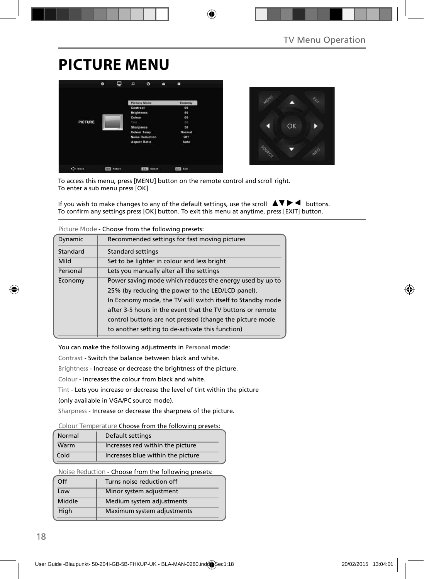## **PICTURE MENU**





To access this menu, press [MENU] button on the remote control and scroll right. To enter a sub menu press [OK]

If you wish to make changes to any of the default settings, use the scroll  $\blacktriangle \blacktriangledown \blacktriangleright \blacktriangleleft$  buttons. To confirm any settings press [OK] button. To exit this menu at anytime, press [EXIT] button.

| TIGUICIVIOUC - CHOOSE HOIH UIE TOHOWIHU DI ESELS. |                                                            |  |  |
|---------------------------------------------------|------------------------------------------------------------|--|--|
| Dynamic                                           | Recommended settings for fast moving pictures              |  |  |
| Standard                                          | <b>Standard settings</b>                                   |  |  |
| Mild                                              | Set to be lighter in colour and less bright                |  |  |
| Personal                                          | Lets you manually alter all the settings                   |  |  |
| Economy                                           | Power saving mode which reduces the energy used by up to   |  |  |
|                                                   | 25% (by reducing the power to the LED/LCD panel).          |  |  |
|                                                   | In Economy mode, the TV will switch itself to Standby mode |  |  |
|                                                   | after 3-5 hours in the event that the TV buttons or remote |  |  |
|                                                   | control buttons are not pressed (change the picture mode   |  |  |
|                                                   | to another setting to de-activate this function)           |  |  |

**Picture Mode** - Choose from the following presets:

You can make the following adjustments in **Personal** mode:

Contrast - Switch the balance between black and white.

Brightness - Increase or decrease the brightness of the picture.

Colour - Increases the colour from black and white.

Tint - Lets you increase or decrease the level of tint within the picture

(only available in VGA/PC source mode).

Sharpness - Increase or decrease the sharpness of the picture.

#### **Colour Temperature** Choose from the following presets:

| Normal | Default settings                  |
|--------|-----------------------------------|
| Warm   | Increases red within the picture  |
| Cold   | Increases blue within the picture |

**Noise Reduction** - Choose from the following presets:

| $\Omega$ | Turns noise reduction off  |
|----------|----------------------------|
| Low      | Minor system adjustment    |
| Middle   | Medium system adjustments  |
| High     | Maximum system adjustments |
|          |                            |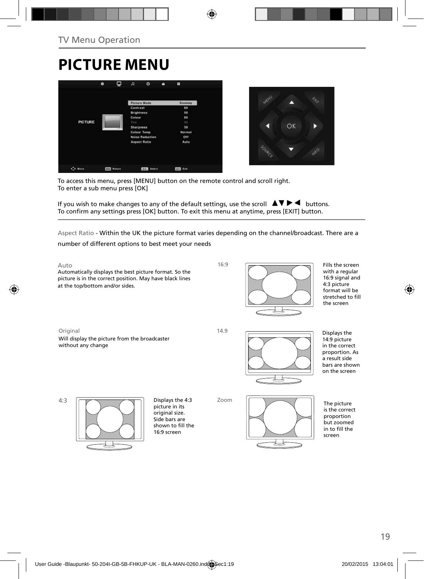# **PICTURE MENU**





To access this menu, press [MENU] button on the remote control and scroll right. To enter a sub menu press [OK]

If you wish to make changes to any of the default settings, use the scroll  $\Box \blacktriangledown \blacktriangleright \blacktriangleleft$  buttons. To confirm any settings press [OK] button. To exit this menu at anytime, press [EXIT] button.

Aspect Ratio - Within the UK the picture format varies depending on the channel/broadcast. There are a number of different options to best meet your needs

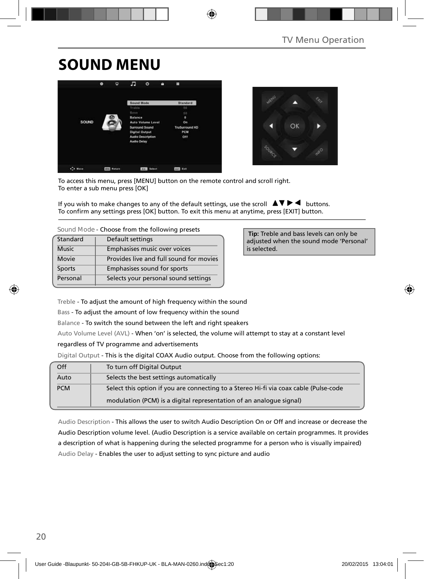## **SOUND MENU**





To access this menu, press [MENU] button on the remote control and scroll right. To enter a sub menu press [OK]

If you wish to make changes to any of the default settings, use the scroll  $\blacktriangle \blacktriangledown \blacktriangleright \blacktriangleleft$  buttons. To confirm any settings press [OK] button. To exit this menu at anytime, press [EXIT] button.

| Standard     | Default settings                        |
|--------------|-----------------------------------------|
| <b>Music</b> | Emphasises music over voices            |
| Movie        | Provides live and full sound for movies |
| Sports       | Emphasises sound for sports             |
| Personal     | Selects your personal sound settings    |

 **Tip:** Treble and bass levels can only be adjusted when the sound mode 'Personal' is selected.

Treble - To adjust the amount of high frequency within the sound

Bass - To adjust the amount of low frequency within the sound

Balance - To switch the sound between the left and right speakers

Auto Volume Level (AVL) - When 'on' is selected, the volume will attempt to stay at a constant level

regardless of TV programme and advertisements

Digital Output - This is the digital COAX Audio output. Choose from the following options:

| Off        | To turn off Digital Output                                                            |
|------------|---------------------------------------------------------------------------------------|
| Auto       | Selects the best settings automatically                                               |
| <b>PCM</b> | Select this option if you are connecting to a Stereo Hi-fi via coax cable (Pulse-code |
|            | modulation (PCM) is a digital representation of an analogue signal)                   |

Audio Description - This allows the user to switch Audio Description On or Off and increase or decrease the Audio Description volume level. (Audio Description is a service available on certain programmes. It provides a description of what is happening during the selected programme for a person who is visually impaired) Audio Delay - Enables the user to adjust setting to sync picture and audio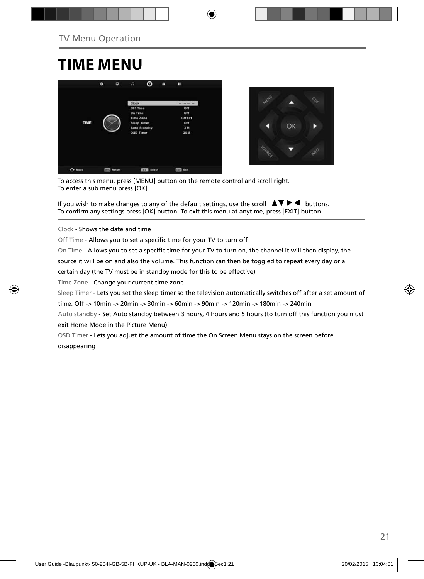### **TIME MENU**





To access this menu, press [MENU] button on the remote control and scroll right. To enter a sub menu press [OK]

If you wish to make changes to any of the default settings, use the scroll  $\Box \blacktriangledown \blacktriangleright \blacktriangleleft$  buttons. To confirm any settings press [OK] button. To exit this menu at anytime, press [EXIT] button.

Clock - Shows the date and time

Off Time - Allows you to set a specific time for your TV to turn off

On Time - Allows you to set a specific time for your TV to turn on, the channel it will then display, the

source it will be on and also the volume. This function can then be toggled to repeat every day or a

certain day (the TV must be in standby mode for this to be effective)

Time Zone - Change your current time zone

Sleep Timer - Lets you set the sleep timer so the television automatically switches off after a set amount of

time. Off -> 10min -> 20min -> 30min -> 60min -> 90min -> 120min -> 180min -> 240min

Auto standby - Set Auto standby between 3 hours, 4 hours and 5 hours (to turn off this function you must exit Home Mode in the Picture Menu)

OSD Timer - Lets you adjust the amount of time the On Screen Menu stays on the screen before disappearing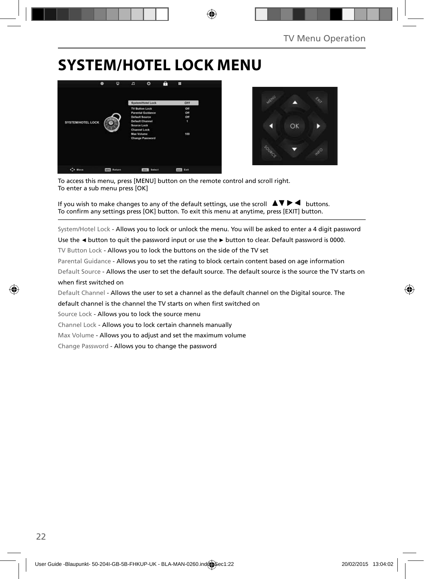### **SYSTEM/HOTEL LOCK MENU**





To access this menu, press [MENU] button on the remote control and scroll right. To enter a sub menu press [OK]

If you wish to make changes to any of the default settings, use the scroll  $\Delta \nabla \blacktriangleright$  buttons. To confirm any settings press [OK] button. To exit this menu at anytime, press [EXIT] button.

System/Hotel Lock - Allows you to lock or unlock the menu. You will be asked to enter a 4 digit password

Use the **◄** button to quit the password input or use the **►** button to clear. Default password is 0000.

TV Button Lock - Allows you to lock the buttons on the side of the TV set

Parental Guidance - Allows you to set the rating to block certain content based on age information

Default Source - Allows the user to set the default source. The default source is the source the TV starts on when first switched on

Default Channel - Allows the user to set a channel as the default channel on the Digital source. The

default channel is the channel the TV starts on when first switched on

Source Lock - Allows you to lock the source menu

Channel Lock - Allows you to lock certain channels manually

Max Volume - Allows you to adjust and set the maximum volume

Change Password - Allows you to change the password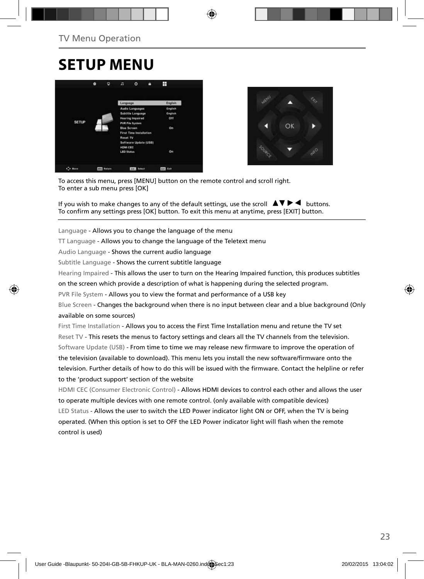### **SETUP MENU**





To access this menu, press [MENU] button on the remote control and scroll right. To enter a sub menu press [OK]

If you wish to make changes to any of the default settings, use the scroll  $\Box \Box \blacktriangleright \blacktriangleleft$  buttons. To confirm any settings press [OK] button. To exit this menu at anytime, press [EXIT] button.

Language - Allows you to change the language of the menu

TT Language - Allows you to change the language of the Teletext menu

Audio Language - Shows the current audio language

Subtitle Language - Shows the current subtitle language

Hearing Impaired - This allows the user to turn on the Hearing Impaired function, this produces subtitles

on the screen which provide a description of what is happening during the selected program.

PVR File System - Allows you to view the format and performance of a USB key

Blue Screen - Changes the background when there is no input between clear and a blue background (Only available on some sources)

First Time Installation - Allows you to access the First Time Installation menu and retune the TV set Reset TV - This resets the menus to factory settings and clears all the TV channels from the television. Software Update (USB) - From time to time we may release new firmware to improve the operation of the television (available to download). This menu lets you install the new software/firmware onto the television. Further details of how to do this will be issued with the firmware. Contact the helpline or refer to the 'product support' section of the website

HDMI CEC (Consumer Electronic Control) - Allows HDMI devices to control each other and allows the user to operate multiple devices with one remote control. (only available with compatible devices) LED Status - Allows the user to switch the LED Power indicator light ON or OFF, when the TV is being operated. (When this option is set to OFF the LED Power indicator light will flash when the remote control is used)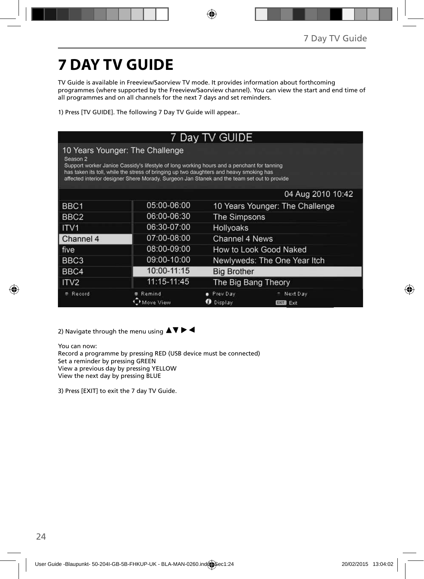# **7 DAY TV GUIDE**

TV Guide is available in Freeview/Saorview TV mode. It provides information about forthcoming programmes (where supported by the Freeview/Saorview channel). You can view the start and end time of all programmes and on all channels for the next 7 days and set reminders.

1) Press [TV GUIDE]. The following 7 Day TV Guide will appear..

| 7 Day TV GUIDE                                                                                                                                                                                                                                                                                                                      |                     |                                                             |  |  |  |  |  |
|-------------------------------------------------------------------------------------------------------------------------------------------------------------------------------------------------------------------------------------------------------------------------------------------------------------------------------------|---------------------|-------------------------------------------------------------|--|--|--|--|--|
| 10 Years Younger: The Challenge<br>Season 2<br>Support worker Janice Cassidy's lifestyle of long working hours and a penchant for tanning<br>has taken its toll, while the stress of bringing up two daughters and heavy smoking has<br>affected interior designer Shere Morady. Surgeon Jan Stanek and the team set out to provide |                     |                                                             |  |  |  |  |  |
|                                                                                                                                                                                                                                                                                                                                     |                     | 04 Aug 2010 10:42                                           |  |  |  |  |  |
| BBC <sub>1</sub>                                                                                                                                                                                                                                                                                                                    | 05:00-06:00         | 10 Years Younger: The Challenge                             |  |  |  |  |  |
| BBC <sub>2</sub>                                                                                                                                                                                                                                                                                                                    | 06:00-06:30         | The Simpsons                                                |  |  |  |  |  |
| ITV <sub>1</sub>                                                                                                                                                                                                                                                                                                                    | 06:30-07:00         | Hollyoaks                                                   |  |  |  |  |  |
| Channel 4                                                                                                                                                                                                                                                                                                                           | 07:00-08:00         | Channel 4 News                                              |  |  |  |  |  |
| five                                                                                                                                                                                                                                                                                                                                | 08:00-09:00         | How to Look Good Naked                                      |  |  |  |  |  |
| BBC3                                                                                                                                                                                                                                                                                                                                | 09:00-10:00         | Newlyweds: The One Year Itch                                |  |  |  |  |  |
| BBC4                                                                                                                                                                                                                                                                                                                                | 10:00-11:15         | <b>Big Brother</b>                                          |  |  |  |  |  |
| ITV <sub>2</sub>                                                                                                                                                                                                                                                                                                                    | 11:15-11:45         | The Big Bang Theory                                         |  |  |  |  |  |
| Record                                                                                                                                                                                                                                                                                                                              | Remind<br>dove View | Prev Day<br>Next Day<br>Display<br>ø<br>Exit<br><b>EXIT</b> |  |  |  |  |  |

2) Navigate through the menu using  $\blacktriangle \blacktriangledown \blacktriangleright \blacktriangleleft$ 

You can now: Record a programme by pressing RED (USB device must be connected) Set a reminder by pressing GREEN View a previous day by pressing YELLOW View the next day by pressing BLUE

3) Press [EXIT] to exit the 7 day TV Guide.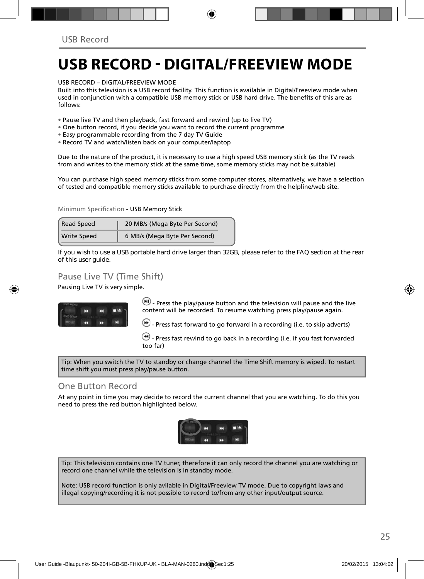### **USB RECORD - DIGITAL/FREEVIEW MODE**

USB RECORD – DIGITAL/FREEVIEW MODE

Built into this television is a USB record facility. This function is available in Digital/Freeview mode when used in conjunction with a compatible USB memory stick or USB hard drive. The benefits of this are as follows:

• Pause live TV and then playback, fast forward and rewind (up to live TV)

- One button record, if you decide you want to record the current programme
- Easy programmable recording from the 7 day TV Guide
- Record TV and watch/listen back on your computer/laptop

Due to the nature of the product, it is necessary to use a high speed USB memory stick (as the TV reads from and writes to the memory stick at the same time, some memory sticks may not be suitable)

You can purchase high speed memory sticks from some computer stores, alternatively, we have a selection of tested and compatible memory sticks available to purchase directly from the helpline/web site.

Minimum Specification - USB Memory Stick

| <b>Read Speed</b>  | 20 MB/s (Mega Byte Per Second) |  |
|--------------------|--------------------------------|--|
| <b>Write Speed</b> | 6 MB/s (Mega Byte Per Second)  |  |

**If you wish to use a USB portable hard drive larger than 32GB, please refer to the FAQ section at the rear of this user guide.**

#### Pause Live TV (Time Shift)

Pausing Live TV is very simple.



 $\left(\blacksquare\right)$  - Press the play/pause button and the television will pause and the live content will be recorded. To resume watching press play/pause again.

 $\bigcirc$  - Press fast forward to go forward in a recording (i.e. to skip adverts)

 $\bigcirc$  - Press fast rewind to go back in a recording (i.e. if you fast forwarded too far)

Tip: When you switch the TV to standby or change channel the Time Shift memory is wiped. To restart time shift you must press play/pause button.

#### One Button Record

At any point in time you may decide to record the current channel that you are watching. To do this you need to press the red button highlighted below.



Tip: This television contains one TV tuner, therefore it can only record the channel you are watching or record one channel while the television is in standby mode.

Note: USB record function is only avilable in Digital/Freeview TV mode. Due to copyright laws and illegal copying/recording it is not possible to record to/from any other input/output source.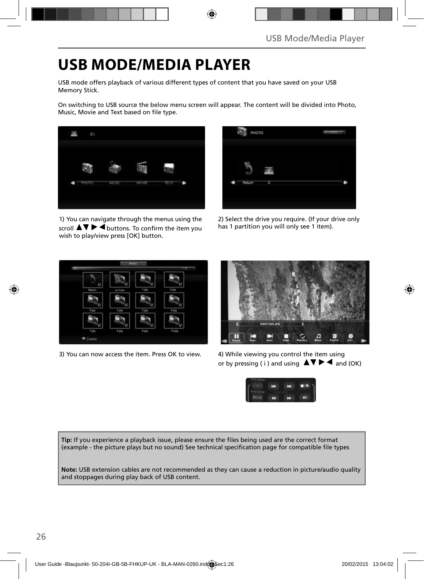## **USB MODE/MEDIA PLAYER**

USB mode offers playback of various different types of content that you have saved on your USB Memory Stick.

On switching to USB source the below menu screen will appear. The content will be divided into Photo, Music, Movie and Text based on file type.



1) You can navigate through the menus using the scroll  $\triangle \triangledown \triangleright \blacktriangle$  buttons. To confirm the item you wish to play/view press [OK] button.



2) Select the drive you require. (If your drive only has 1 partition you will only see 1 item).



3) You can now access the item. Press OK to view. 4) While viewing you control the item using



or by pressing ( i ) and using  $\Delta \nabla \blacktriangleright$   $\blacktriangle$  and (OK)



Tip: If you experience a playback issue, please ensure the files being used are the correct format (example - the picture plays but no sound) See technical specification page for compatible file types

**Note:** USB extension cables are not recommended as they can cause a reduction in picture/audio quality and stoppages during play back of USB content.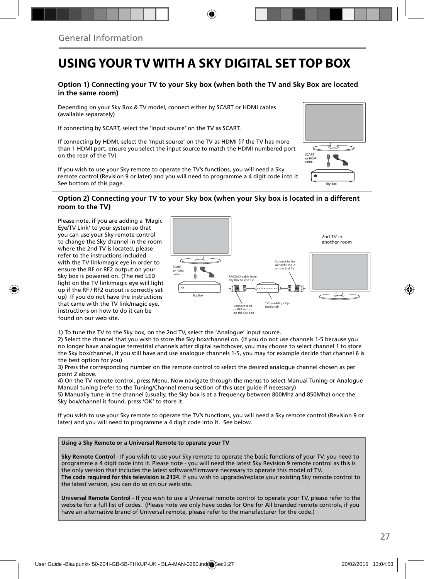### **USING YOUR TV WITH A SKY DIGITAL SET TOP BOX**

#### **Option 1) Connecting your TV to your Sky box (when both the TV and Sky Box are located in the same room)**

Depending on your Sky Box & TV model, connect either by SCART or HDMI cables (available separately)

If connecting by SCART, select the 'Input source' on the TV as SCART.

If connecting by HDMI, select the 'Input source' on the TV as HDMI (if the TV has more than 1 HDMI port, ensure you select the input source to match the HDMI numbered port on the rear of the TV)

If you wish to use your Sky remote to operate the TV's functions, you will need a Sky remote control (Revision 9 or later) and you will need to programme a 4 digit code into it. See bottom of this page.



#### **Option 2) Connecting your TV to your Sky box (when your Sky box is located in a different room to the TV)**

Please note, if you are adding a 'Magic Eye/TV Link' to your system so that you can use your Sky remote control to change the Sky channel in the room where the 2nd TV is located, please refer to the instructions included with the TV link/magic eye in order to ensure the RF or RF2 output on your Sky box is powered on. (The red LED light on the TV link/magic eye will light up if the RF / RF2 output is correctly set up) If you do not have the instructions that came with the TV link/magic eye, instructions on how to do it can be found on our web site.



1) To tune the TV to the Sky box, on the 2nd TV, select the 'Analogue' input source.

2) Select the channel that you wish to store the Sky box/channel on. (If you do not use channels 1-5 because you no longer have analogue terrestrial channels after digital switchover, you may choose to select channel 1 to store the Sky box/channel, if you still have and use analogue channels 1-5, you may for example decide that channel 6 is the best option for you)

3) Press the corresponding number on the remote control to select the desired analogue channel chosen as per point 2 above.

4) On the TV remote control, press Menu. Now navigate through the menus to select Manual Tuning or Analogue Manual tuning (refer to the Tuning/Channel menu section of this user guide if necessary)

5) Manually tune in the channel (usually, the Sky box is at a frequency between 800Mhz and 850Mhz) once the Sky box/channel is found, press 'OK' to store it.

If you wish to use your Sky remote to operate the TV's functions, you will need a Sky remote control (Revision 9 or later) and you will need to programme a 4 digit code into it. See below.

#### **Using a Sky Remote or a Universal Remote to operate your TV**

**Sky Remote Control** - If you wish to use your Sky remote to operate the basic functions of your TV, you need to programme a 4 digit code into it. Please note - you will need the latest Sky Revision 9 remote control as this is the only version that includes the latest software/firmware necessary to operate this model of TV. **The code required for this television is 2134.** If you wish to upgrade/replace your existing Sky remote control to the latest version, you can do so on our web site.

**Universal Remote Control** - If you wish to use a Universal remote control to operate your TV, please refer to the website for a full list of codes. (Please note we only have codes for One for All branded remote controls, if you have an alternative brand of Universal remote, please refer to the manufacturer for the code.)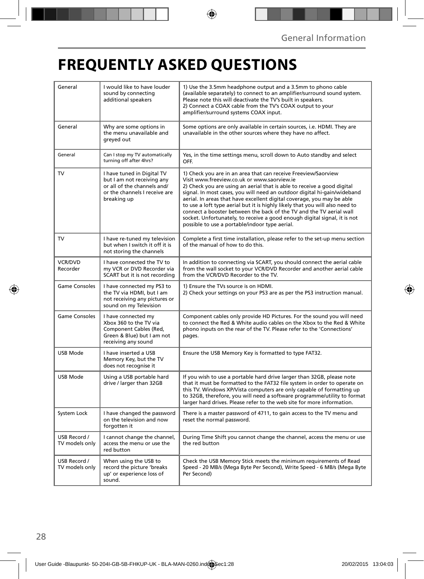## **FREQUENTLY ASKED QUESTIONS**

| General                        | I would like to have louder<br>sound by connecting<br>additional speakers                                                               | 1) Use the 3.5mm headphone output and a 3.5mm to phono cable<br>(available separately) to connect to an amplifier/surround sound system.<br>Please note this will deactivate the TV's built in speakers.<br>2) Connect a COAX cable from the TV's COAX output to your<br>amplifier/surround systems COAX input.                                                                                                                                                                                                                                                                                                                      |  |
|--------------------------------|-----------------------------------------------------------------------------------------------------------------------------------------|--------------------------------------------------------------------------------------------------------------------------------------------------------------------------------------------------------------------------------------------------------------------------------------------------------------------------------------------------------------------------------------------------------------------------------------------------------------------------------------------------------------------------------------------------------------------------------------------------------------------------------------|--|
| General                        | Why are some options in<br>the menu unavailable and<br>greyed out                                                                       | Some options are only available in certain sources, i.e. HDMI. They are<br>unavailable in the other sources where they have no affect.                                                                                                                                                                                                                                                                                                                                                                                                                                                                                               |  |
| General                        | Can I stop my TV automatically<br>turning off after 4hrs?                                                                               | Yes, in the time settings menu, scroll down to Auto standby and select<br>OFF.                                                                                                                                                                                                                                                                                                                                                                                                                                                                                                                                                       |  |
| TV                             | I have tuned in Digital TV<br>but I am not receiving any<br>or all of the channels and/<br>or the channels I receive are<br>breaking up | 1) Check you are in an area that can receive Freeview/Saorview<br>Visit www.freeview.co.uk or www.saorview.ie<br>2) Check you are using an aerial that is able to receive a good digital<br>signal. In most cases, you will need an outdoor digital hi-gain/wideband<br>aerial. In areas that have excellent digital coverage, you may be able<br>to use a loft type aerial but it is highly likely that you will also need to<br>connect a booster between the back of the TV and the TV aerial wall<br>socket. Unfortunately, to receive a good enough digital signal, it is not<br>possible to use a portable/indoor type aerial. |  |
| TV                             | I have re-tuned my television<br>but when I switch it off it is<br>not storing the channels                                             | Complete a first time installation, please refer to the set-up menu section<br>of the manual of how to do this.                                                                                                                                                                                                                                                                                                                                                                                                                                                                                                                      |  |
| <b>VCR/DVD</b><br>Recorder     | I have connected the TV to<br>my VCR or DVD Recorder via<br>SCART but it is not recording                                               | In addition to connecting via SCART, you should connect the aerial cable<br>from the wall socket to your VCR/DVD Recorder and another aerial cable<br>from the VCR/DVD Recorder to the TV.                                                                                                                                                                                                                                                                                                                                                                                                                                           |  |
| <b>Game Consoles</b>           | I have connected my PS3 to<br>the TV via HDMI, but I am<br>not receiving any pictures or<br>sound on my Television                      | 1) Ensure the TVs source is on HDMI.<br>2) Check your settings on your PS3 are as per the PS3 instruction manual.                                                                                                                                                                                                                                                                                                                                                                                                                                                                                                                    |  |
| <b>Game Consoles</b>           | I have connected my<br>Xbox 360 to the TV via<br>Component Cables (Red,<br>Green & Blue) but I am not<br>receiving any sound            | Component cables only provide HD Pictures. For the sound you will need<br>to connect the Red & White audio cables on the Xbox to the Red & White<br>phono inputs on the rear of the TV. Please refer to the 'Connections'<br>pages.                                                                                                                                                                                                                                                                                                                                                                                                  |  |
| <b>USB Mode</b>                | I have inserted a USB<br>Memory Key, but the TV<br>does not recognise it                                                                | Ensure the USB Memory Key is formatted to type FAT32.                                                                                                                                                                                                                                                                                                                                                                                                                                                                                                                                                                                |  |
| USB Mode                       | Using a USB portable hard<br>drive / larger than 32GB                                                                                   | If you wish to use a portable hard drive larger than 32GB, please note<br>that it must be formatted to the FAT32 file system in order to operate on<br>this TV. Windows XP/Vista computers are only capable of formatting up<br>to 32GB, therefore, you will need a software programme/utility to format<br>larger hard drives. Please refer to the web site for more information.                                                                                                                                                                                                                                                   |  |
| System Lock                    | I have changed the password<br>on the television and now<br>forgotten it                                                                | There is a master password of 4711, to gain access to the TV menu and<br>reset the normal password.                                                                                                                                                                                                                                                                                                                                                                                                                                                                                                                                  |  |
| USB Record /<br>TV models only | I cannot change the channel,<br>access the menu or use the<br>red button                                                                | During Time Shift you cannot change the channel, access the menu or use<br>the red button                                                                                                                                                                                                                                                                                                                                                                                                                                                                                                                                            |  |
| USB Record /<br>TV models only | When using the USB to<br>record the picture 'breaks<br>up' or experience loss of<br>sound.                                              | Check the USB Memory Stick meets the minimum requirements of Read<br>Speed - 20 MB/s (Mega Byte Per Second), Write Speed - 6 MB/s (Mega Byte<br>Per Second)                                                                                                                                                                                                                                                                                                                                                                                                                                                                          |  |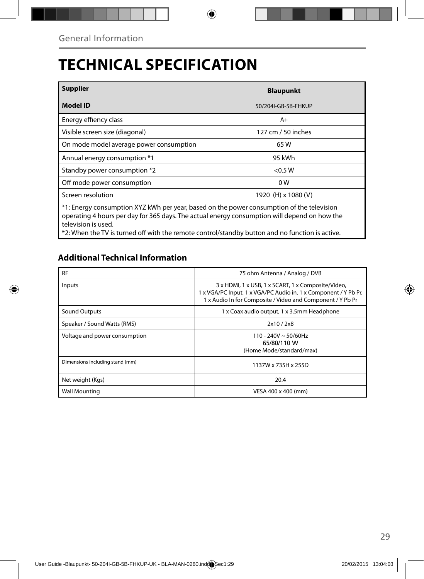## **TECHNICAL SPECIFICATION**

| <b>Supplier</b>                                                                                                                                                                                                  | <b>Blaupunkt</b>    |  |  |
|------------------------------------------------------------------------------------------------------------------------------------------------------------------------------------------------------------------|---------------------|--|--|
| Model ID                                                                                                                                                                                                         | 50/204I-GB-5B-FHKUP |  |  |
| Energy effiency class                                                                                                                                                                                            | $A+$                |  |  |
| Visible screen size (diagonal)                                                                                                                                                                                   | 127 cm / 50 inches  |  |  |
| On mode model average power consumption                                                                                                                                                                          | 65 W                |  |  |
| Annual energy consumption *1                                                                                                                                                                                     | 95 kWh              |  |  |
| Standby power consumption *2                                                                                                                                                                                     | < 0.5 W             |  |  |
| Off mode power consumption                                                                                                                                                                                       | 0 W                 |  |  |
| Screen resolution                                                                                                                                                                                                | 1920 (H) x 1080 (V) |  |  |
| *1: Energy consumption XYZ kWh per year, based on the power consumption of the television<br>operating 4 hours per day for 365 days. The actual energy consumption will depend on how the<br>television is used. |                     |  |  |

\*2: When the TV is turned off with the remote control/standby button and no function is active.

### **Additional Technical Information**

| <b>RF</b>                       | 75 ohm Antenna / Analog / DVB                                                                                                                                                       |  |  |
|---------------------------------|-------------------------------------------------------------------------------------------------------------------------------------------------------------------------------------|--|--|
| Inputs                          | 3 x HDMI, 1 x USB, 1 x SCART, 1 x Composite/Video,<br>1 x VGA/PC Input, 1 x VGA/PC Audio in, 1 x Component / Y Pb Pr,<br>1 x Audio In for Composite / Video and Component / Y Pb Pr |  |  |
| Sound Outputs                   | 1 x Coax audio output, 1 x 3.5mm Headphone                                                                                                                                          |  |  |
| Speaker / Sound Watts (RMS)     | 2x10 / 2x8                                                                                                                                                                          |  |  |
| Voltage and power consumption   | $110 - 240V \sim 50/60Hz$<br>65/80/110 W<br>(Home Mode/standard/max)                                                                                                                |  |  |
| Dimensions including stand (mm) | 1137W x 735H x 255D                                                                                                                                                                 |  |  |
| Net weight (Kgs)                | 20.4                                                                                                                                                                                |  |  |
| <b>Wall Mounting</b>            | VESA 400 x 400 (mm)                                                                                                                                                                 |  |  |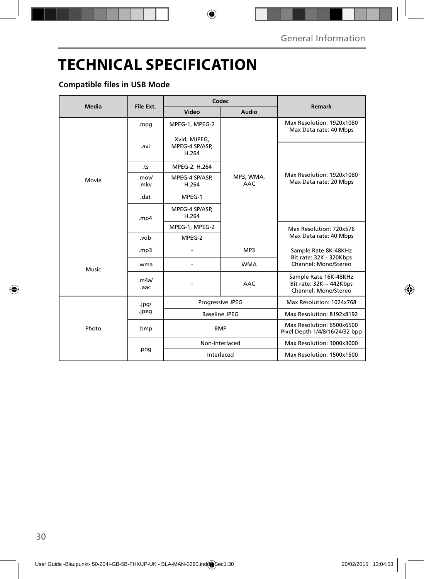## **TECHNICAL SPECIFICATION**

### **Compatible files in USB Mode**

|              | File Ext.      | Codec                                   |                         |                                                                               |
|--------------|----------------|-----------------------------------------|-------------------------|-------------------------------------------------------------------------------|
| <b>Media</b> |                | Video                                   | Audio                   | <b>Remark</b>                                                                 |
|              | .mpg           | MPEG-1, MPEG-2                          | MP3, WMA,<br><b>AAC</b> | Max Resolution: 1920x1080<br>Max Data rate: 40 Mbps                           |
|              | .avi           | Xvid, MJPEG,<br>MPEG-4 SP/ASP,<br>H.264 |                         | Max Resolution: 1920x1080<br>Max Data rate: 20 Mbps                           |
|              | .ts            | MPEG-2, H.264                           |                         |                                                                               |
| Movie        | .mov/<br>.mkv  | MPEG-4 SP/ASP,<br>H.264                 |                         |                                                                               |
|              | .dat           | MPEG-1                                  |                         |                                                                               |
|              | .mp $4$        | MPEG-4 SP/ASP,<br>H.264                 |                         |                                                                               |
|              |                | MPEG-1, MPEG-2                          |                         | Max Resolution: 720x576<br>Max Data rate: 40 Mbps                             |
|              | .vob           | MPEG-2                                  |                         |                                                                               |
| Music        | .mp3           |                                         | MP3                     | Sample Rate 8K-48KHz<br>Bit rate: 32K - 320Kbps                               |
|              | .wma           |                                         | <b>WMA</b>              | Channel: Mono/Stereo                                                          |
|              | .m4a/<br>.aac  |                                         | AAC                     | Sample Rate 16K-48KHz<br>Bit rate: $32K \sim 442Kbps$<br>Channel: Mono/Stereo |
|              | .jpg/<br>.jpeg | Progressive JPEG                        |                         | Max Resolution: 1024x768                                                      |
|              |                | <b>Baseline JPEG</b>                    |                         | Max Resolution: 8192x8192                                                     |
| Photo        | .bmp           | <b>BMP</b>                              |                         | Max Resolution: 6500x6500<br>Pixel Depth 1/4/8/16/24/32 bpp                   |
|              | .png           | Non-Interlaced                          |                         | Max Resolution: 3000x3000                                                     |
|              |                | Interlaced                              |                         | Max Resolution: 1500x1500                                                     |